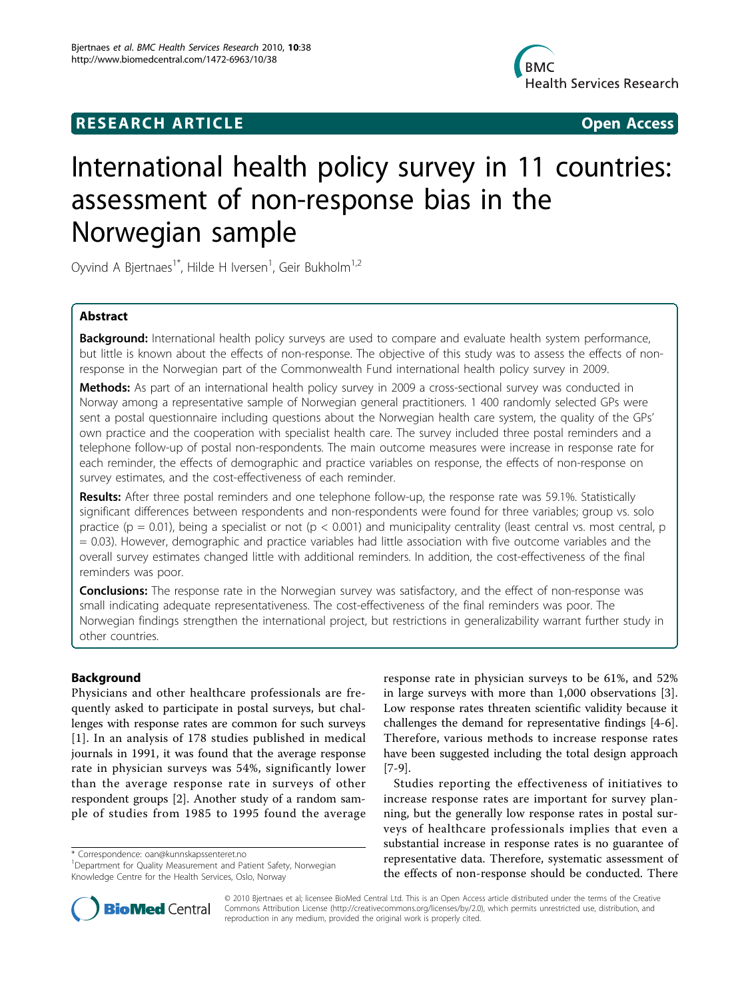# **RESEARCH ARTICLE Example 2018 CONSIDERING ACCESS**



# International health policy survey in 11 countries: assessment of non-response bias in the Norwegian sample

Oyvind A Bjertnaes<sup>1\*</sup>, Hilde H Iversen<sup>1</sup>, Geir Bukholm<sup>1,2</sup>

# Abstract

Background: International health policy surveys are used to compare and evaluate health system performance, but little is known about the effects of non-response. The objective of this study was to assess the effects of nonresponse in the Norwegian part of the Commonwealth Fund international health policy survey in 2009.

Methods: As part of an international health policy survey in 2009 a cross-sectional survey was conducted in Norway among a representative sample of Norwegian general practitioners. 1 400 randomly selected GPs were sent a postal questionnaire including questions about the Norwegian health care system, the quality of the GPs' own practice and the cooperation with specialist health care. The survey included three postal reminders and a telephone follow-up of postal non-respondents. The main outcome measures were increase in response rate for each reminder, the effects of demographic and practice variables on response, the effects of non-response on survey estimates, and the cost-effectiveness of each reminder.

Results: After three postal reminders and one telephone follow-up, the response rate was 59.1%. Statistically significant differences between respondents and non-respondents were found for three variables; group vs. solo practice ( $p = 0.01$ ), being a specialist or not ( $p < 0.001$ ) and municipality centrality (least central vs. most central,  $p$ = 0.03). However, demographic and practice variables had little association with five outcome variables and the overall survey estimates changed little with additional reminders. In addition, the cost-effectiveness of the final reminders was poor.

Conclusions: The response rate in the Norwegian survey was satisfactory, and the effect of non-response was small indicating adequate representativeness. The cost-effectiveness of the final reminders was poor. The Norwegian findings strengthen the international project, but restrictions in generalizability warrant further study in other countries.

# Background

Physicians and other healthcare professionals are frequently asked to participate in postal surveys, but challenges with response rates are common for such surveys [[1](#page-5-0)]. In an analysis of 178 studies published in medical journals in 1991, it was found that the average response rate in physician surveys was 54%, significantly lower than the average response rate in surveys of other respondent groups [\[2](#page-5-0)]. Another study of a random sample of studies from 1985 to 1995 found the average

\* Correspondence: [oan@kunnskapssenteret.no](mailto:oan@kunnskapssenteret.no)



Studies reporting the effectiveness of initiatives to increase response rates are important for survey planning, but the generally low response rates in postal surveys of healthcare professionals implies that even a substantial increase in response rates is no guarantee of representative data. Therefore, systematic assessment of the effects of non-response should be conducted. There



© 2010 Bjertnaes et al; licensee BioMed Central Ltd. This is an Open Access article distributed under the terms of the Creative Commons Attribution License [\(http://creativecommons.org/licenses/by/2.0](http://creativecommons.org/licenses/by/2.0)), which permits unrestricted use, distribution, and reproduction in any medium, provided the original work is properly cited.

<sup>&</sup>lt;sup>1</sup>Department for Quality Measurement and Patient Safety, Norwegian Knowledge Centre for the Health Services, Oslo, Norway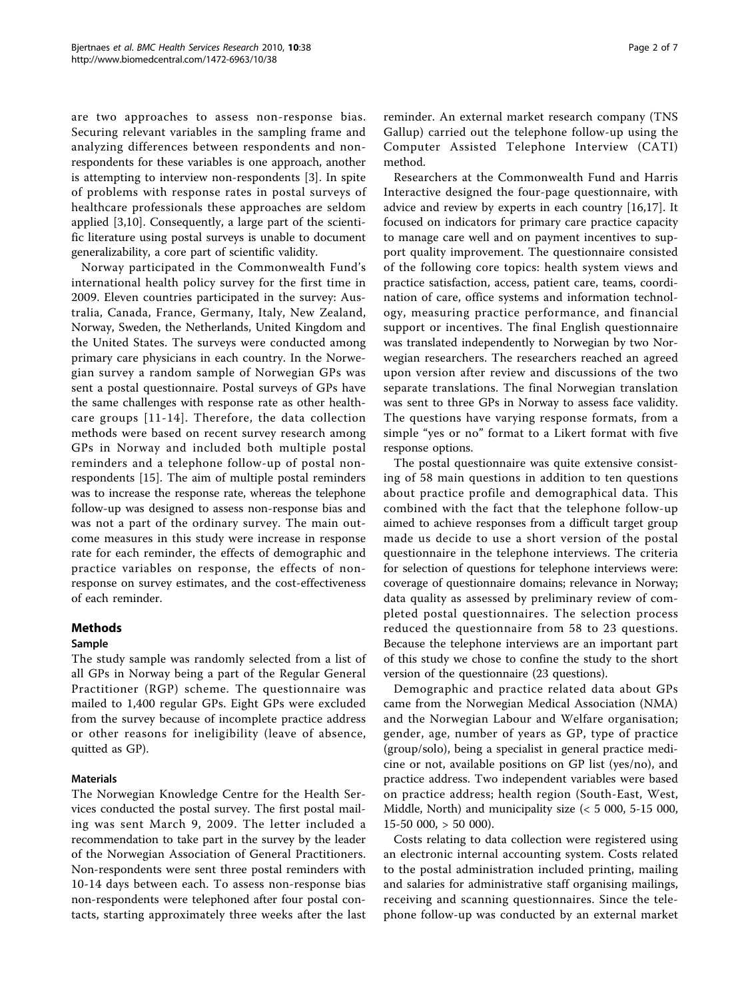are two approaches to assess non-response bias. Securing relevant variables in the sampling frame and analyzing differences between respondents and nonrespondents for these variables is one approach, another is attempting to interview non-respondents [[3](#page-5-0)]. In spite of problems with response rates in postal surveys of healthcare professionals these approaches are seldom applied [\[3,10](#page-5-0)]. Consequently, a large part of the scientific literature using postal surveys is unable to document generalizability, a core part of scientific validity.

Norway participated in the Commonwealth Fund's international health policy survey for the first time in 2009. Eleven countries participated in the survey: Australia, Canada, France, Germany, Italy, New Zealand, Norway, Sweden, the Netherlands, United Kingdom and the United States. The surveys were conducted among primary care physicians in each country. In the Norwegian survey a random sample of Norwegian GPs was sent a postal questionnaire. Postal surveys of GPs have the same challenges with response rate as other healthcare groups [[11-14](#page-5-0)]. Therefore, the data collection methods were based on recent survey research among GPs in Norway and included both multiple postal reminders and a telephone follow-up of postal nonrespondents [[15\]](#page-5-0). The aim of multiple postal reminders was to increase the response rate, whereas the telephone follow-up was designed to assess non-response bias and was not a part of the ordinary survey. The main outcome measures in this study were increase in response rate for each reminder, the effects of demographic and practice variables on response, the effects of nonresponse on survey estimates, and the cost-effectiveness of each reminder.

# Methods

# Sample

The study sample was randomly selected from a list of all GPs in Norway being a part of the Regular General Practitioner (RGP) scheme. The questionnaire was mailed to 1,400 regular GPs. Eight GPs were excluded from the survey because of incomplete practice address or other reasons for ineligibility (leave of absence, quitted as GP).

# Materials

The Norwegian Knowledge Centre for the Health Services conducted the postal survey. The first postal mailing was sent March 9, 2009. The letter included a recommendation to take part in the survey by the leader of the Norwegian Association of General Practitioners. Non-respondents were sent three postal reminders with 10-14 days between each. To assess non-response bias non-respondents were telephoned after four postal contacts, starting approximately three weeks after the last reminder. An external market research company (TNS Gallup) carried out the telephone follow-up using the Computer Assisted Telephone Interview (CATI) method.

Researchers at the Commonwealth Fund and Harris Interactive designed the four-page questionnaire, with advice and review by experts in each country [\[16,17](#page-5-0)]. It focused on indicators for primary care practice capacity to manage care well and on payment incentives to support quality improvement. The questionnaire consisted of the following core topics: health system views and practice satisfaction, access, patient care, teams, coordination of care, office systems and information technology, measuring practice performance, and financial support or incentives. The final English questionnaire was translated independently to Norwegian by two Norwegian researchers. The researchers reached an agreed upon version after review and discussions of the two separate translations. The final Norwegian translation was sent to three GPs in Norway to assess face validity. The questions have varying response formats, from a simple "yes or no" format to a Likert format with five response options.

The postal questionnaire was quite extensive consisting of 58 main questions in addition to ten questions about practice profile and demographical data. This combined with the fact that the telephone follow-up aimed to achieve responses from a difficult target group made us decide to use a short version of the postal questionnaire in the telephone interviews. The criteria for selection of questions for telephone interviews were: coverage of questionnaire domains; relevance in Norway; data quality as assessed by preliminary review of completed postal questionnaires. The selection process reduced the questionnaire from 58 to 23 questions. Because the telephone interviews are an important part of this study we chose to confine the study to the short version of the questionnaire (23 questions).

Demographic and practice related data about GPs came from the Norwegian Medical Association (NMA) and the Norwegian Labour and Welfare organisation; gender, age, number of years as GP, type of practice (group/solo), being a specialist in general practice medicine or not, available positions on GP list (yes/no), and practice address. Two independent variables were based on practice address; health region (South-East, West, Middle, North) and municipality size (< 5 000, 5-15 000,  $15-50000$ ,  $> 50000$ .

Costs relating to data collection were registered using an electronic internal accounting system. Costs related to the postal administration included printing, mailing and salaries for administrative staff organising mailings, receiving and scanning questionnaires. Since the telephone follow-up was conducted by an external market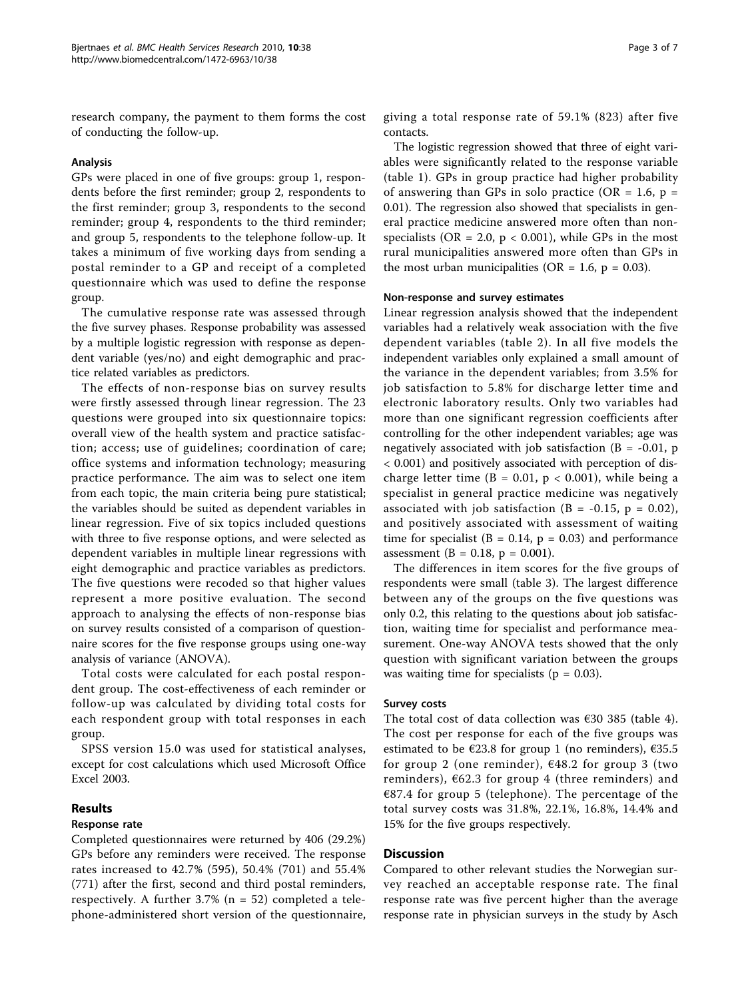research company, the payment to them forms the cost of conducting the follow-up.

# Analysis

GPs were placed in one of five groups: group 1, respondents before the first reminder; group 2, respondents to the first reminder; group 3, respondents to the second reminder; group 4, respondents to the third reminder; and group 5, respondents to the telephone follow-up. It takes a minimum of five working days from sending a postal reminder to a GP and receipt of a completed questionnaire which was used to define the response group.

The cumulative response rate was assessed through the five survey phases. Response probability was assessed by a multiple logistic regression with response as dependent variable (yes/no) and eight demographic and practice related variables as predictors.

The effects of non-response bias on survey results were firstly assessed through linear regression. The 23 questions were grouped into six questionnaire topics: overall view of the health system and practice satisfaction; access; use of guidelines; coordination of care; office systems and information technology; measuring practice performance. The aim was to select one item from each topic, the main criteria being pure statistical; the variables should be suited as dependent variables in linear regression. Five of six topics included questions with three to five response options, and were selected as dependent variables in multiple linear regressions with eight demographic and practice variables as predictors. The five questions were recoded so that higher values represent a more positive evaluation. The second approach to analysing the effects of non-response bias on survey results consisted of a comparison of questionnaire scores for the five response groups using one-way analysis of variance (ANOVA).

Total costs were calculated for each postal respondent group. The cost-effectiveness of each reminder or follow-up was calculated by dividing total costs for each respondent group with total responses in each group.

SPSS version 15.0 was used for statistical analyses, except for cost calculations which used Microsoft Office Excel 2003.

# Results

#### Response rate

Completed questionnaires were returned by 406 (29.2%) GPs before any reminders were received. The response rates increased to 42.7% (595), 50.4% (701) and 55.4% (771) after the first, second and third postal reminders, respectively. A further  $3.7\%$  (n = 52) completed a telephone-administered short version of the questionnaire,

giving a total response rate of 59.1% (823) after five contacts.

The logistic regression showed that three of eight variables were significantly related to the response variable (table [1](#page-3-0)). GPs in group practice had higher probability of answering than GPs in solo practice (OR = 1.6,  $p =$ 0.01). The regression also showed that specialists in general practice medicine answered more often than nonspecialists (OR = 2.0,  $p < 0.001$ ), while GPs in the most rural municipalities answered more often than GPs in the most urban municipalities (OR = 1.6,  $p = 0.03$ ).

#### Non-response and survey estimates

Linear regression analysis showed that the independent variables had a relatively weak association with the five dependent variables (table [2](#page-4-0)). In all five models the independent variables only explained a small amount of the variance in the dependent variables; from 3.5% for job satisfaction to 5.8% for discharge letter time and electronic laboratory results. Only two variables had more than one significant regression coefficients after controlling for the other independent variables; age was negatively associated with job satisfaction ( $B = -0.01$ , p < 0.001) and positively associated with perception of discharge letter time  $(B = 0.01, p < 0.001)$ , while being a specialist in general practice medicine was negatively associated with job satisfaction ( $B = -0.15$ ,  $p = 0.02$ ), and positively associated with assessment of waiting time for specialist ( $B = 0.14$ ,  $p = 0.03$ ) and performance assessment (B = 0.18, p = 0.001).

The differences in item scores for the five groups of respondents were small (table [3](#page-4-0)). The largest difference between any of the groups on the five questions was only 0.2, this relating to the questions about job satisfaction, waiting time for specialist and performance measurement. One-way ANOVA tests showed that the only question with significant variation between the groups was waiting time for specialists ( $p = 0.03$ ).

#### Survey costs

The total cost of data collection was  $\epsilon$ 30 385 (table [4](#page-5-0)). The cost per response for each of the five groups was estimated to be  $\epsilon$ 23.8 for group 1 (no reminders),  $\epsilon$ 35.5 for group 2 (one reminder),  $648.2$  for group 3 (two reminders),  $662.3$  for group 4 (three reminders) and  $€87.4$  for group 5 (telephone). The percentage of the total survey costs was 31.8%, 22.1%, 16.8%, 14.4% and 15% for the five groups respectively.

#### Discussion

Compared to other relevant studies the Norwegian survey reached an acceptable response rate. The final response rate was five percent higher than the average response rate in physician surveys in the study by Asch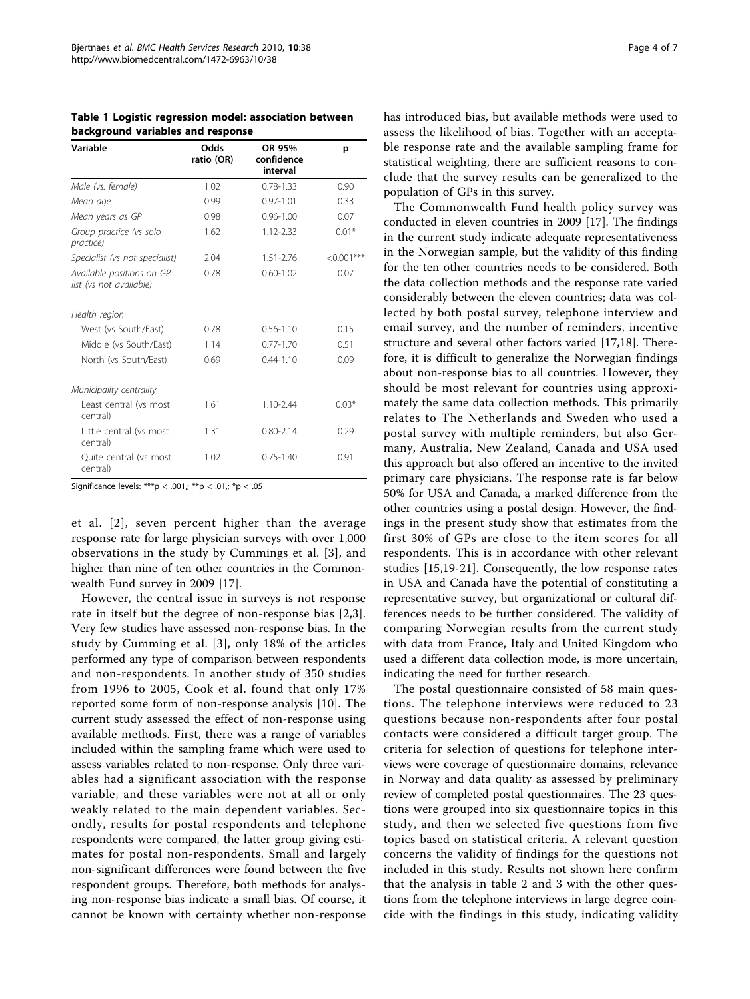<span id="page-3-0"></span>Table 1 Logistic regression model: association between background variables and response

| Variable                                             | Odds<br>ratio (OR) | OR 95%<br>confidence<br>interval | p           |  |
|------------------------------------------------------|--------------------|----------------------------------|-------------|--|
| Male (vs. female)                                    | 1.02               | $0.78 - 1.33$                    | 0.90        |  |
| Mean age                                             | 0.99               | $0.97 - 1.01$                    | 0.33        |  |
| Mean years as GP                                     | 0.98               | $0.96 - 1.00$                    | 0.07        |  |
| Group practice (vs solo<br>practice)                 | 1.62               | 1.12-2.33                        | $0.01*$     |  |
| Specialist (vs not specialist)                       | 2.04               | 1.51-2.76                        | $<0.001***$ |  |
| Available positions on GP<br>list (vs not available) | 0.78               | $0.60 - 1.02$                    | 0.07        |  |
| Health region                                        |                    |                                  |             |  |
| West (vs South/East)                                 | 0.78               | $0.56 - 1.10$                    | 0.15        |  |
| Middle (vs South/East)                               | 1.14               | $0.77 - 1.70$                    | 0.51        |  |
| North (vs South/East)                                | 0.69               | $0.44 - 1.10$                    | 0.09        |  |
| Municipality centrality                              |                    |                                  |             |  |
| Least central (vs most<br>central)                   | 1.61               | $1.10 - 2.44$                    | $0.03*$     |  |
| Little central (vs most<br>central)                  | 1.31               | $0.80 - 2.14$                    | 0.29        |  |
| Quite central (vs most<br>central)                   | 1.02               | $0.75 - 1.40$                    | 0.91        |  |

Significance levels: \*\*\*p < .001,; \*\*p < .01,; \*p < .05

et al. [[2\]](#page-5-0), seven percent higher than the average response rate for large physician surveys with over 1,000 observations in the study by Cummings et al. [[3\]](#page-5-0), and higher than nine of ten other countries in the Commonwealth Fund survey in 2009 [[17\]](#page-5-0).

However, the central issue in surveys is not response rate in itself but the degree of non-response bias [[2,3](#page-5-0)]. Very few studies have assessed non-response bias. In the study by Cumming et al. [[3\]](#page-5-0), only 18% of the articles performed any type of comparison between respondents and non-respondents. In another study of 350 studies from 1996 to 2005, Cook et al. found that only 17% reported some form of non-response analysis [\[10](#page-5-0)]. The current study assessed the effect of non-response using available methods. First, there was a range of variables included within the sampling frame which were used to assess variables related to non-response. Only three variables had a significant association with the response variable, and these variables were not at all or only weakly related to the main dependent variables. Secondly, results for postal respondents and telephone respondents were compared, the latter group giving estimates for postal non-respondents. Small and largely non-significant differences were found between the five respondent groups. Therefore, both methods for analysing non-response bias indicate a small bias. Of course, it cannot be known with certainty whether non-response has introduced bias, but available methods were used to assess the likelihood of bias. Together with an acceptable response rate and the available sampling frame for statistical weighting, there are sufficient reasons to conclude that the survey results can be generalized to the population of GPs in this survey.

The Commonwealth Fund health policy survey was conducted in eleven countries in 2009 [\[17](#page-5-0)]. The findings in the current study indicate adequate representativeness in the Norwegian sample, but the validity of this finding for the ten other countries needs to be considered. Both the data collection methods and the response rate varied considerably between the eleven countries; data was collected by both postal survey, telephone interview and email survey, and the number of reminders, incentive structure and several other factors varied [\[17,18](#page-5-0)]. Therefore, it is difficult to generalize the Norwegian findings about non-response bias to all countries. However, they should be most relevant for countries using approximately the same data collection methods. This primarily relates to The Netherlands and Sweden who used a postal survey with multiple reminders, but also Germany, Australia, New Zealand, Canada and USA used this approach but also offered an incentive to the invited primary care physicians. The response rate is far below 50% for USA and Canada, a marked difference from the other countries using a postal design. However, the findings in the present study show that estimates from the first 30% of GPs are close to the item scores for all respondents. This is in accordance with other relevant studies [[15,](#page-5-0)[19-21](#page-6-0)]. Consequently, the low response rates in USA and Canada have the potential of constituting a representative survey, but organizational or cultural differences needs to be further considered. The validity of comparing Norwegian results from the current study with data from France, Italy and United Kingdom who used a different data collection mode, is more uncertain, indicating the need for further research.

The postal questionnaire consisted of 58 main questions. The telephone interviews were reduced to 23 questions because non-respondents after four postal contacts were considered a difficult target group. The criteria for selection of questions for telephone interviews were coverage of questionnaire domains, relevance in Norway and data quality as assessed by preliminary review of completed postal questionnaires. The 23 questions were grouped into six questionnaire topics in this study, and then we selected five questions from five topics based on statistical criteria. A relevant question concerns the validity of findings for the questions not included in this study. Results not shown here confirm that the analysis in table [2](#page-4-0) and [3](#page-4-0) with the other questions from the telephone interviews in large degree coincide with the findings in this study, indicating validity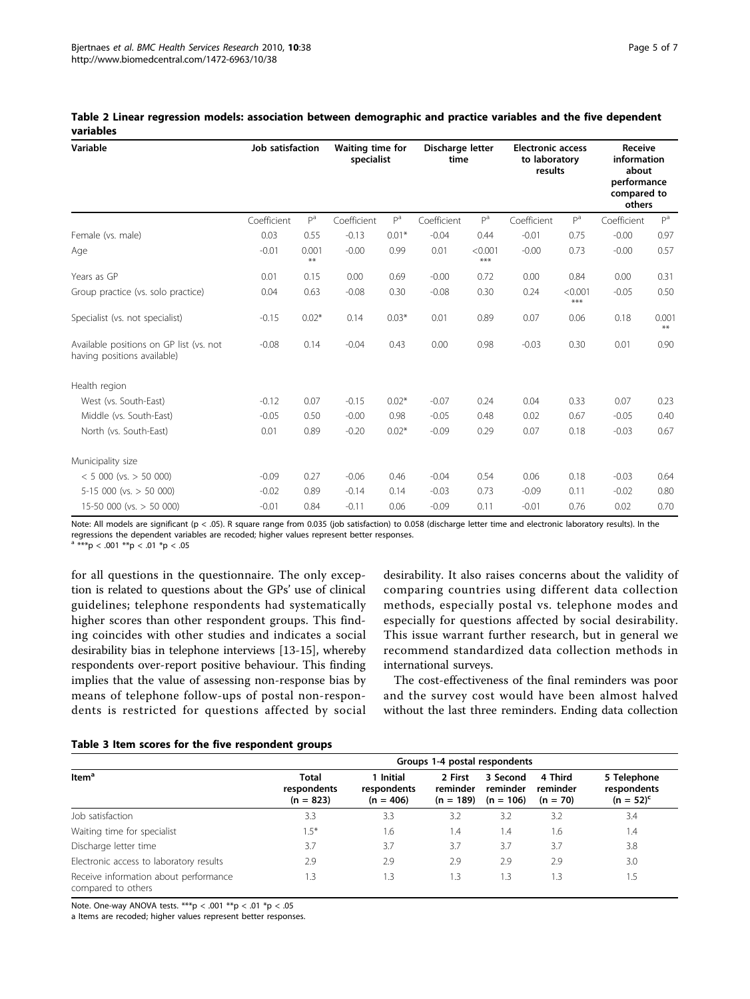| variables                                                              |                  |                |                                |                |                          |                  |                                                      |                |                                                                                |                |
|------------------------------------------------------------------------|------------------|----------------|--------------------------------|----------------|--------------------------|------------------|------------------------------------------------------|----------------|--------------------------------------------------------------------------------|----------------|
| Variable                                                               | Job satisfaction |                | Waiting time for<br>specialist |                | Discharge letter<br>time |                  | <b>Electronic access</b><br>to laboratory<br>results |                | <b>Receive</b><br>information<br>about<br>performance<br>compared to<br>others |                |
|                                                                        | Coefficient      | P <sup>a</sup> | Coefficient                    | P <sup>a</sup> | Coefficient              | P <sup>a</sup>   | Coefficient                                          | P <sup>a</sup> | Coefficient                                                                    | P <sup>a</sup> |
| Female (vs. male)                                                      | 0.03             | 0.55           | $-0.13$                        | $0.01*$        | $-0.04$                  | 0.44             | $-0.01$                                              | 0.75           | $-0.00$                                                                        | 0.97           |
| Age                                                                    | $-0.01$          | 0.001<br>$***$ | $-0.00$                        | 0.99           | 0.01                     | < 0.001<br>$***$ | $-0.00$                                              | 0.73           | $-0.00$                                                                        | 0.57           |
| Years as GP                                                            | 0.01             | 0.15           | 0.00                           | 0.69           | $-0.00$                  | 0.72             | 0.00                                                 | 0.84           | 0.00                                                                           | 0.31           |
| Group practice (vs. solo practice)                                     | 0.04             | 0.63           | $-0.08$                        | 0.30           | $-0.08$                  | 0.30             | 0.24                                                 | < 0.001<br>*** | $-0.05$                                                                        | 0.50           |
| Specialist (vs. not specialist)                                        | $-0.15$          | $0.02*$        | 0.14                           | $0.03*$        | 0.01                     | 0.89             | 0.07                                                 | 0.06           | 0.18                                                                           | 0.001<br>$***$ |
| Available positions on GP list (vs. not<br>having positions available) | $-0.08$          | 0.14           | $-0.04$                        | 0.43           | 0.00                     | 0.98             | $-0.03$                                              | 0.30           | 0.01                                                                           | 0.90           |
| Health region                                                          |                  |                |                                |                |                          |                  |                                                      |                |                                                                                |                |
| West (vs. South-East)                                                  | $-0.12$          | 0.07           | $-0.15$                        | $0.02*$        | $-0.07$                  | 0.24             | 0.04                                                 | 0.33           | 0.07                                                                           | 0.23           |

#### <span id="page-4-0"></span>Table 2 Linear regression models: association between demographic and practice variables and the five dependent variables

Note: All models are significant (p < .05). R square range from 0.035 (job satisfaction) to 0.058 (discharge letter time and electronic laboratory results). In the regressions the dependent variables are recoded; higher values represent better responses.

Middle (vs. South-East) -0.05 0.50 -0.00 0.98 -0.05 0.48 0.02 0.67 -0.05 0.40 North (vs. South-East) 0.01 0.89 -0.20 0.02\* -0.09 0.29 0.07 0.18 -0.03 0.67

 $(1, 5, 000)(vs. > 50,000)$  -0.09 0.27 -0.06 0.46 -0.04 0.54 0.06 0.18 -0.03 0.64 5-15 000 (vs. > 50 000) -0.02 0.89 -0.14 0.14 -0.03 0.73 -0.09 0.11 -0.02 0.80 15-50 000 (vs. > 50 000) 0.02 0.01 0.84 -0.11 0.06 -0.09 0.11 -0.01 0.76 0.02 0.70

 $a$  \*\*\*p < .001 \*\*p < .01 \*p < .05

Municipality size

for all questions in the questionnaire. The only exception is related to questions about the GPs' use of clinical guidelines; telephone respondents had systematically higher scores than other respondent groups. This finding coincides with other studies and indicates a social desirability bias in telephone interviews [[13-15](#page-5-0)], whereby respondents over-report positive behaviour. This finding implies that the value of assessing non-response bias by means of telephone follow-ups of postal non-respondents is restricted for questions affected by social

desirability. It also raises concerns about the validity of comparing countries using different data collection methods, especially postal vs. telephone modes and especially for questions affected by social desirability. This issue warrant further research, but in general we recommend standardized data collection methods in international surveys.

The cost-effectiveness of the final reminders was poor and the survey cost would have been almost halved without the last three reminders. Ending data collection

# Table 3 Item scores for the five respondent groups

|                                                             | Groups 1-4 postal respondents              |                                         |                                    |                                     |                                   |                                              |  |  |
|-------------------------------------------------------------|--------------------------------------------|-----------------------------------------|------------------------------------|-------------------------------------|-----------------------------------|----------------------------------------------|--|--|
| <b>Item<sup>a</sup></b>                                     | <b>Total</b><br>respondents<br>$(n = 823)$ | 1 Initial<br>respondents<br>$(n = 406)$ | 2 First<br>reminder<br>$(n = 189)$ | 3 Second<br>reminder<br>$(n = 106)$ | 4 Third<br>reminder<br>$(n = 70)$ | 5 Telephone<br>respondents<br>$(n = 52)^{c}$ |  |  |
| Job satisfaction                                            | 3.3                                        | 3.3                                     | 3.2                                | 3.2                                 | 3.2                               | 3.4                                          |  |  |
| Waiting time for specialist                                 | 1.5*                                       | 1.6                                     | 1.4                                | 1.4                                 | 1.6                               | 1.4                                          |  |  |
| Discharge letter time                                       | 3.7                                        | 3.7                                     | 3.7                                | 3.7                                 | 3.7                               | 3.8                                          |  |  |
| Electronic access to laboratory results                     | 2.9                                        | 2.9                                     | 2.9                                | 2.9                                 | 2.9                               | 3.0                                          |  |  |
| Receive information about performance<br>compared to others | 1.3                                        | 1.3                                     | 1.3                                | 1.3                                 | 1.3                               | 1.5                                          |  |  |

Note. One-way ANOVA tests. \*\*\*p < .001 \*\*p < .01 \*p < .05

a Items are recoded; higher values represent better responses.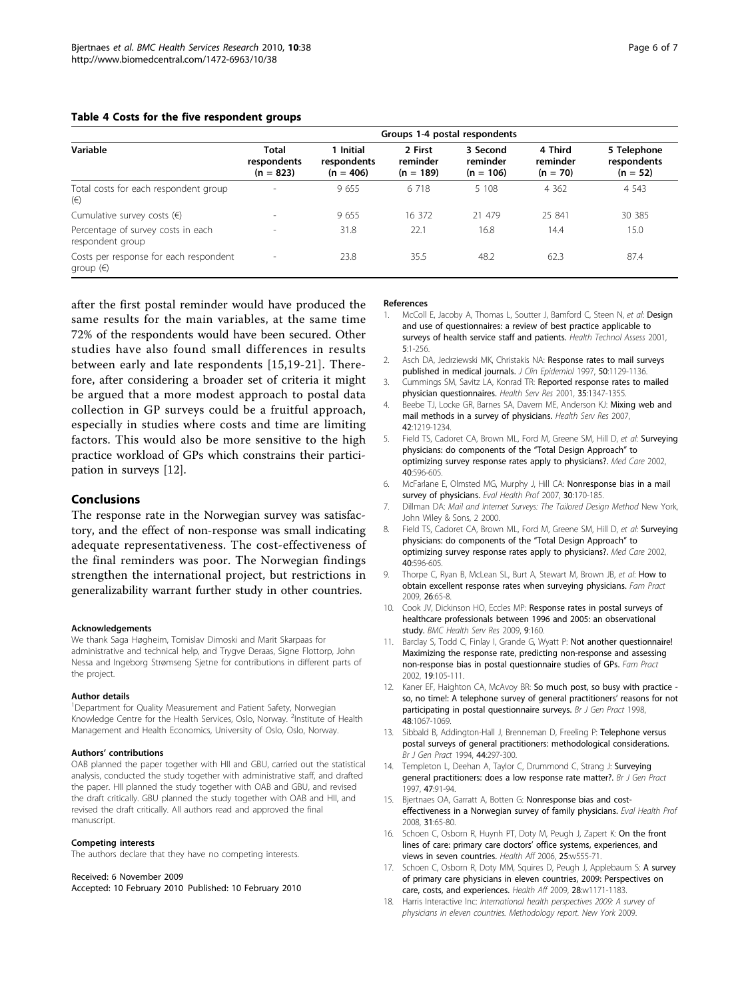#### <span id="page-5-0"></span>Table 4 Costs for the five respondent groups

| Variable                                                     | Groups 1-4 postal respondents              |                                       |                                    |                                     |                                   |                                          |  |  |
|--------------------------------------------------------------|--------------------------------------------|---------------------------------------|------------------------------------|-------------------------------------|-----------------------------------|------------------------------------------|--|--|
|                                                              | <b>Total</b><br>respondents<br>$(n = 823)$ | Initial<br>respondents<br>$(n = 406)$ | 2 First<br>reminder<br>$(n = 189)$ | 3 Second<br>reminder<br>$(n = 106)$ | 4 Third<br>reminder<br>$(n = 70)$ | 5 Telephone<br>respondents<br>$(n = 52)$ |  |  |
| Total costs for each respondent group<br>$(\in)$             | $\sim$                                     | 9 6 5 5                               | 6 7 1 8                            | 5 108                               | 4 3 6 2                           | 4 5 4 3                                  |  |  |
| Cumulative survey costs $(\epsilon)$                         | $\sim$                                     | 9 6 5 5                               | 16 372                             | 21 479                              | 25 841                            | 30 385                                   |  |  |
| Percentage of survey costs in each<br>respondent group       | $\overline{\phantom{a}}$                   | 31.8                                  | 22.1                               | 16.8                                | 14.4                              | 15.0                                     |  |  |
| Costs per response for each respondent<br>group $(\epsilon)$ | $\sim$                                     | 23.8                                  | 35.5                               | 48.2                                | 62.3                              | 87.4                                     |  |  |

after the first postal reminder would have produced the same results for the main variables, at the same time 72% of the respondents would have been secured. Other studies have also found small differences in results between early and late respondents [15[,19-21](#page-6-0)]. Therefore, after considering a broader set of criteria it might be argued that a more modest approach to postal data collection in GP surveys could be a fruitful approach, especially in studies where costs and time are limiting factors. This would also be more sensitive to the high practice workload of GPs which constrains their participation in surveys [12].

#### Conclusions

The response rate in the Norwegian survey was satisfactory, and the effect of non-response was small indicating adequate representativeness. The cost-effectiveness of the final reminders was poor. The Norwegian findings strengthen the international project, but restrictions in generalizability warrant further study in other countries.

#### Acknowledgements

We thank Saga Høgheim, Tomislav Dimoski and Marit Skarpaas for administrative and technical help, and Trygve Deraas, Signe Flottorp, John Nessa and Ingeborg Strømseng Sjetne for contributions in different parts of the project.

#### Author details

<sup>1</sup>Department for Quality Measurement and Patient Safety, Norwegian Knowledge Centre for the Health Services, Oslo, Norway. <sup>2</sup>Institute of Health Management and Health Economics, University of Oslo, Oslo, Norway.

#### Authors' contributions

OAB planned the paper together with HII and GBU, carried out the statistical analysis, conducted the study together with administrative staff, and drafted the paper. HII planned the study together with OAB and GBU, and revised the draft critically. GBU planned the study together with OAB and HII, and revised the draft critically. All authors read and approved the final manuscript.

#### Competing interests

The authors declare that they have no competing interests.

#### Received: 6 November 2009

Accepted: 10 February 2010 Published: 10 February 2010

#### References

- 1. McColl E, Jacoby A, Thomas L, Soutter J, Bamford C, Steen N, et al: [Design](http://www.ncbi.nlm.nih.gov/pubmed/11809125?dopt=Abstract) [and use of questionnaires: a review of best practice applicable to](http://www.ncbi.nlm.nih.gov/pubmed/11809125?dopt=Abstract) [surveys of health service staff and patients.](http://www.ncbi.nlm.nih.gov/pubmed/11809125?dopt=Abstract) Health Technol Assess 2001, 5:1-256.
- 2. Asch DA, Jedrziewski MK, Christakis NA: [Response rates to mail surveys](http://www.ncbi.nlm.nih.gov/pubmed/9368521?dopt=Abstract) [published in medical journals.](http://www.ncbi.nlm.nih.gov/pubmed/9368521?dopt=Abstract) J Clin Epidemiol 1997, 50:1129-1136.
- 3. Cummings SM, Savitz LA, Konrad TR: [Reported response rates to mailed](http://www.ncbi.nlm.nih.gov/pubmed/11221823?dopt=Abstract) [physician questionnaires.](http://www.ncbi.nlm.nih.gov/pubmed/11221823?dopt=Abstract) Health Serv Res 2001, 35:1347-1355.
- 4. Beebe TJ, Locke GR, Barnes SA, Davern ME, Anderson KJ: [Mixing web and](http://www.ncbi.nlm.nih.gov/pubmed/17489911?dopt=Abstract) [mail methods in a survey of physicians.](http://www.ncbi.nlm.nih.gov/pubmed/17489911?dopt=Abstract) Health Serv Res 2007, 42:1219-1234.
- 5. Field TS, Cadoret CA, Brown ML, Ford M, Greene SM, Hill D, et al: [Surveying](http://www.ncbi.nlm.nih.gov/pubmed/12142775?dopt=Abstract) [physicians: do components of the](http://www.ncbi.nlm.nih.gov/pubmed/12142775?dopt=Abstract) "Total Design Approach" to [optimizing survey response rates apply to physicians?.](http://www.ncbi.nlm.nih.gov/pubmed/12142775?dopt=Abstract) Med Care 2002, 40:596-605.
- 6. McFarlane E, Olmsted MG, Murphy J, Hill CA: [Nonresponse bias in a mail](http://www.ncbi.nlm.nih.gov/pubmed/17476029?dopt=Abstract) [survey of physicians.](http://www.ncbi.nlm.nih.gov/pubmed/17476029?dopt=Abstract) Eval Health Prof 2007, 30:170-185.
- 7. Dillman DA: Mail and Internet Surveys: The Tailored Design Method New York, John Wiley & Sons, 2 2000.
- 8. Field TS, Cadoret CA, Brown ML, Ford M, Greene SM, Hill D, et al: [Surveying](http://www.ncbi.nlm.nih.gov/pubmed/12142775?dopt=Abstract) [physicians: do components of the](http://www.ncbi.nlm.nih.gov/pubmed/12142775?dopt=Abstract) "Total Design Approach" to [optimizing survey response rates apply to physicians?.](http://www.ncbi.nlm.nih.gov/pubmed/12142775?dopt=Abstract) Med Care 2002, 40:596-605.
- 9. Thorpe C, Ryan B, McLean SL, Burt A, Stewart M, Brown JB, et al: [How to](http://www.ncbi.nlm.nih.gov/pubmed/19074758?dopt=Abstract) [obtain excellent response rates when surveying physicians.](http://www.ncbi.nlm.nih.gov/pubmed/19074758?dopt=Abstract) Fam Pract 2009, 26:65-8.
- 10. Cook JV, Dickinson HO, Eccles MP: [Response rates in postal surveys of](http://www.ncbi.nlm.nih.gov/pubmed/19751504?dopt=Abstract) [healthcare professionals between 1996 and 2005: an observational](http://www.ncbi.nlm.nih.gov/pubmed/19751504?dopt=Abstract) [study.](http://www.ncbi.nlm.nih.gov/pubmed/19751504?dopt=Abstract) BMC Health Serv Res 2009, 9:160.
- 11. Barclay S, Todd C, Finlay I, Grande G, Wyatt P: [Not another questionnaire!](http://www.ncbi.nlm.nih.gov/pubmed/11818359?dopt=Abstract) [Maximizing the response rate, predicting non-response and assessing](http://www.ncbi.nlm.nih.gov/pubmed/11818359?dopt=Abstract) [non-response bias in postal questionnaire studies of GPs.](http://www.ncbi.nlm.nih.gov/pubmed/11818359?dopt=Abstract) Fam Pract 2002, 19:105-111.
- 12. Kaner EF, Haighton CA, McAvoy BR: [So much post, so busy with practice](http://www.ncbi.nlm.nih.gov/pubmed/9624749?dopt=Abstract)  [so, no time!: A telephone survey of general practitioners](http://www.ncbi.nlm.nih.gov/pubmed/9624749?dopt=Abstract)' reasons for not [participating in postal questionnaire surveys.](http://www.ncbi.nlm.nih.gov/pubmed/9624749?dopt=Abstract) Br J Gen Pract 1998, 48:1067-1069.
- 13. Sibbald B, Addington-Hall J, Brenneman D, Freeling P: [Telephone versus](http://www.ncbi.nlm.nih.gov/pubmed/8068375?dopt=Abstract) [postal surveys of general practitioners: methodological considerations.](http://www.ncbi.nlm.nih.gov/pubmed/8068375?dopt=Abstract) Br J Gen Pract 1994, 44:297-300.
- 14. Templeton L, Deehan A, Taylor C, Drummond C, Strang J: [Surveying](http://www.ncbi.nlm.nih.gov/pubmed/9101692?dopt=Abstract) [general practitioners: does a low response rate matter?.](http://www.ncbi.nlm.nih.gov/pubmed/9101692?dopt=Abstract) Br J Gen Pract 1997, 47:91-94.
- 15. Bjertnaes OA, Garratt A, Botten G: [Nonresponse bias and cost](http://www.ncbi.nlm.nih.gov/pubmed/18174607?dopt=Abstract)[effectiveness in a Norwegian survey of family physicians.](http://www.ncbi.nlm.nih.gov/pubmed/18174607?dopt=Abstract) Eval Health Prof 2008, 31:65-80.
- 16. Schoen C, Osborn R, Huynh PT, Doty M, Peugh J, Zapert K: On the front lines of care: primary care doctors' office systems, experiences, and views in seven countries. Health Aff 2006, 25:w555-71.
- 17. Schoen C, Osborn R, Doty MM, Squires D, Peugh J, Applebaum S: A survey of primary care physicians in eleven countries, 2009: Perspectives on care, costs, and experiences. Health Aff 2009, 28:w1171-1183.
- 18. Harris Interactive Inc: International health perspectives 2009: A survey of physicians in eleven countries. Methodology report. New York 2009.